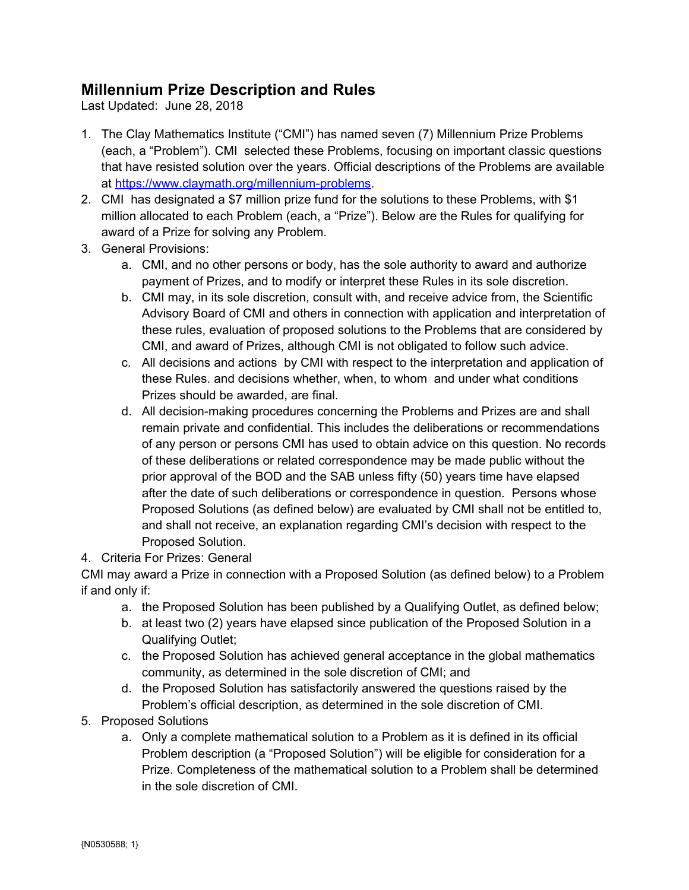## **Millennium Prize Description and Rules**

Last Updated: June 28, 2018

- 1. The Clay Mathematics Institute ("CMI") has named seven (7) Millennium Prize Problems (each, a "Problem"). CMI selected these Problems, focusing on important classic questions that have resisted solution over the years. Official descriptions of the Problems are available at [https://www.claymath.org/millennium-problems.](https://www.claymath.org/millennium-problems)
- 2. CMI has designated a \$7 million prize fund for the solutions to these Problems, with \$1 million allocated to each Problem (each, a "Prize"). Below are the Rules for qualifying for award of a Prize for solving any Problem.
- 3. General Provisions:
	- a. CMI, and no other persons or body, has the sole authority to award and authorize payment of Prizes, and to modify or interpret these Rules in its sole discretion.
	- b. CMI may, in its sole discretion, consult with, and receive advice from, the Scientific Advisory Board of CMI and others in connection with application and interpretation of these rules, evaluation of proposed solutions to the Problems that are considered by CMI, and award of Prizes, although CMI is not obligated to follow such advice.
	- c. All decisions and actions by CMI with respect to the interpretation and application of these Rules. and decisions whether, when, to whom and under what conditions Prizes should be awarded, are final.
	- d. All decision-making procedures concerning the Problems and Prizes are and shall remain private and confidential. This includes the deliberations or recommendations of any person or persons CMI has used to obtain advice on this question. No records of these deliberations or related correspondence may be made public without the prior approval of the BOD and the SAB unless fifty (50) years time have elapsed after the date of such deliberations or correspondence in question. Persons whose Proposed Solutions (as defined below) are evaluated by CMI shall not be entitled to, and shall not receive, an explanation regarding CMI's decision with respect to the Proposed Solution.
- 4. Criteria For Prizes: General

CMI may award a Prize in connection with a Proposed Solution (as defined below) to a Problem if and only if:

- a. the Proposed Solution has been published by a Qualifying Outlet, as defined below;
- b. at least two (2) years have elapsed since publication of the Proposed Solution in a Qualifying Outlet;
- c. the Proposed Solution has achieved general acceptance in the global mathematics community, as determined in the sole discretion of CMI; and
- d. the Proposed Solution has satisfactorily answered the questions raised by the Problem's official description, as determined in the sole discretion of CMI.
- 5. Proposed Solutions
	- a. Only a complete mathematical solution to a Problem as it is defined in its official Problem description (a "Proposed Solution") will be eligible for consideration for a Prize. Completeness of the mathematical solution to a Problem shall be determined in the sole discretion of CMI.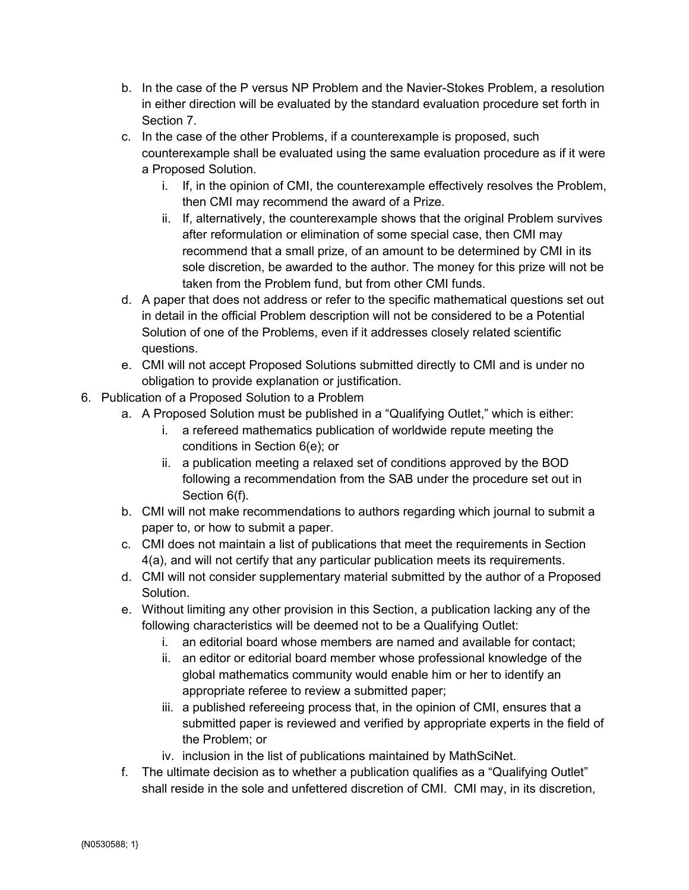- b. In the case of the P versus NP Problem and the Navier-Stokes Problem, a resolution in either direction will be evaluated by the standard evaluation procedure set forth in Section 7.
- c. In the case of the other Problems, if a counterexample is proposed, such counterexample shall be evaluated using the same evaluation procedure as if it were a Proposed Solution.
	- i. If, in the opinion of CMI, the counterexample effectively resolves the Problem, then CMI may recommend the award of a Prize.
	- ii. If, alternatively, the counterexample shows that the original Problem survives after reformulation or elimination of some special case, then CMI may recommend that a small prize, of an amount to be determined by CMI in its sole discretion, be awarded to the author. The money for this prize will not be taken from the Problem fund, but from other CMI funds.
- d. A paper that does not address or refer to the specific mathematical questions set out in detail in the official Problem description will not be considered to be a Potential Solution of one of the Problems, even if it addresses closely related scientific questions.
- e. CMI will not accept Proposed Solutions submitted directly to CMI and is under no obligation to provide explanation or justification.
- 6. Publication of a Proposed Solution to a Problem
	- a. A Proposed Solution must be published in a "Qualifying Outlet," which is either:
		- i. a refereed mathematics publication of worldwide repute meeting the conditions in Section 6(e); or
		- ii. a publication meeting a relaxed set of conditions approved by the BOD following a recommendation from the SAB under the procedure set out in Section 6(f).
	- b. CMI will not make recommendations to authors regarding which journal to submit a paper to, or how to submit a paper.
	- c. CMI does not maintain a list of publications that meet the requirements in Section 4(a), and will not certify that any particular publication meets its requirements.
	- d. CMI will not consider supplementary material submitted by the author of a Proposed Solution.
	- e. Without limiting any other provision in this Section, a publication lacking any of the following characteristics will be deemed not to be a Qualifying Outlet:
		- i. an editorial board whose members are named and available for contact;
		- ii. an editor or editorial board member whose professional knowledge of the global mathematics community would enable him or her to identify an appropriate referee to review a submitted paper;
		- iii. a published refereeing process that, in the opinion of CMI, ensures that a submitted paper is reviewed and verified by appropriate experts in the field of the Problem; or
		- iv. inclusion in the list of publications maintained by MathSciNet.
	- f. The ultimate decision as to whether a publication qualifies as a "Qualifying Outlet" shall reside in the sole and unfettered discretion of CMI. CMI may, in its discretion,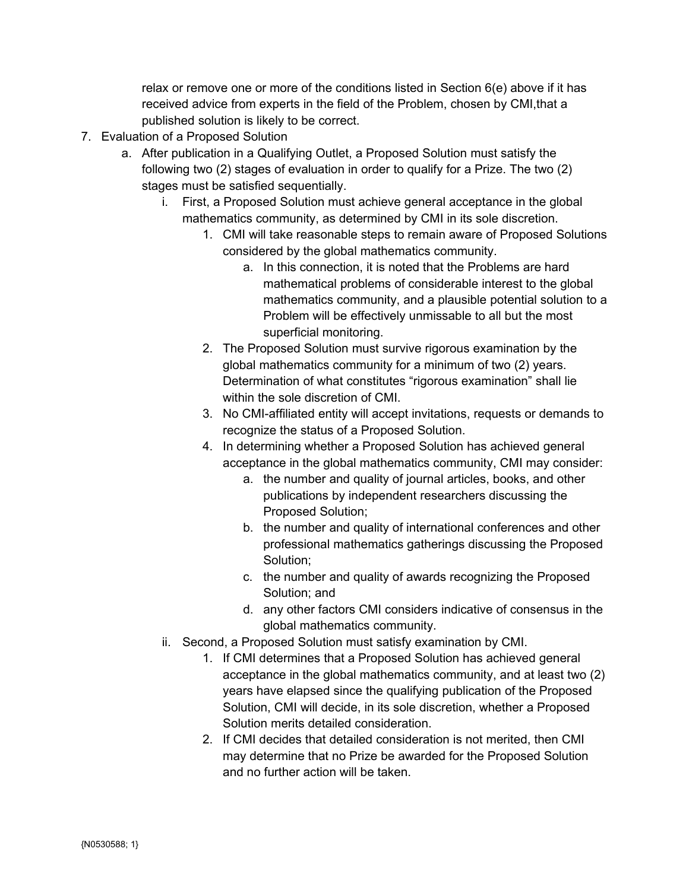relax or remove one or more of the conditions listed in Section 6(e) above if it has received advice from experts in the field of the Problem, chosen by CMI,that a published solution is likely to be correct.

- 7. Evaluation of a Proposed Solution
	- a. After publication in a Qualifying Outlet, a Proposed Solution must satisfy the following two (2) stages of evaluation in order to qualify for a Prize. The two (2) stages must be satisfied sequentially.
		- i. First, a Proposed Solution must achieve general acceptance in the global mathematics community, as determined by CMI in its sole discretion.
			- 1. CMI will take reasonable steps to remain aware of Proposed Solutions considered by the global mathematics community.
				- a. In this connection, it is noted that the Problems are hard mathematical problems of considerable interest to the global mathematics community, and a plausible potential solution to a Problem will be effectively unmissable to all but the most superficial monitoring.
			- 2. The Proposed Solution must survive rigorous examination by the global mathematics community for a minimum of two (2) years. Determination of what constitutes "rigorous examination" shall lie within the sole discretion of CMI.
			- 3. No CMI-affiliated entity will accept invitations, requests or demands to recognize the status of a Proposed Solution.
			- 4. In determining whether a Proposed Solution has achieved general acceptance in the global mathematics community, CMI may consider:
				- a. the number and quality of journal articles, books, and other publications by independent researchers discussing the Proposed Solution;
				- b. the number and quality of international conferences and other professional mathematics gatherings discussing the Proposed Solution;
				- c. the number and quality of awards recognizing the Proposed Solution; and
				- d. any other factors CMI considers indicative of consensus in the global mathematics community.
		- ii. Second, a Proposed Solution must satisfy examination by CMI.
			- 1. If CMI determines that a Proposed Solution has achieved general acceptance in the global mathematics community, and at least two (2) years have elapsed since the qualifying publication of the Proposed Solution, CMI will decide, in its sole discretion, whether a Proposed Solution merits detailed consideration.
			- 2. If CMI decides that detailed consideration is not merited, then CMI may determine that no Prize be awarded for the Proposed Solution and no further action will be taken.